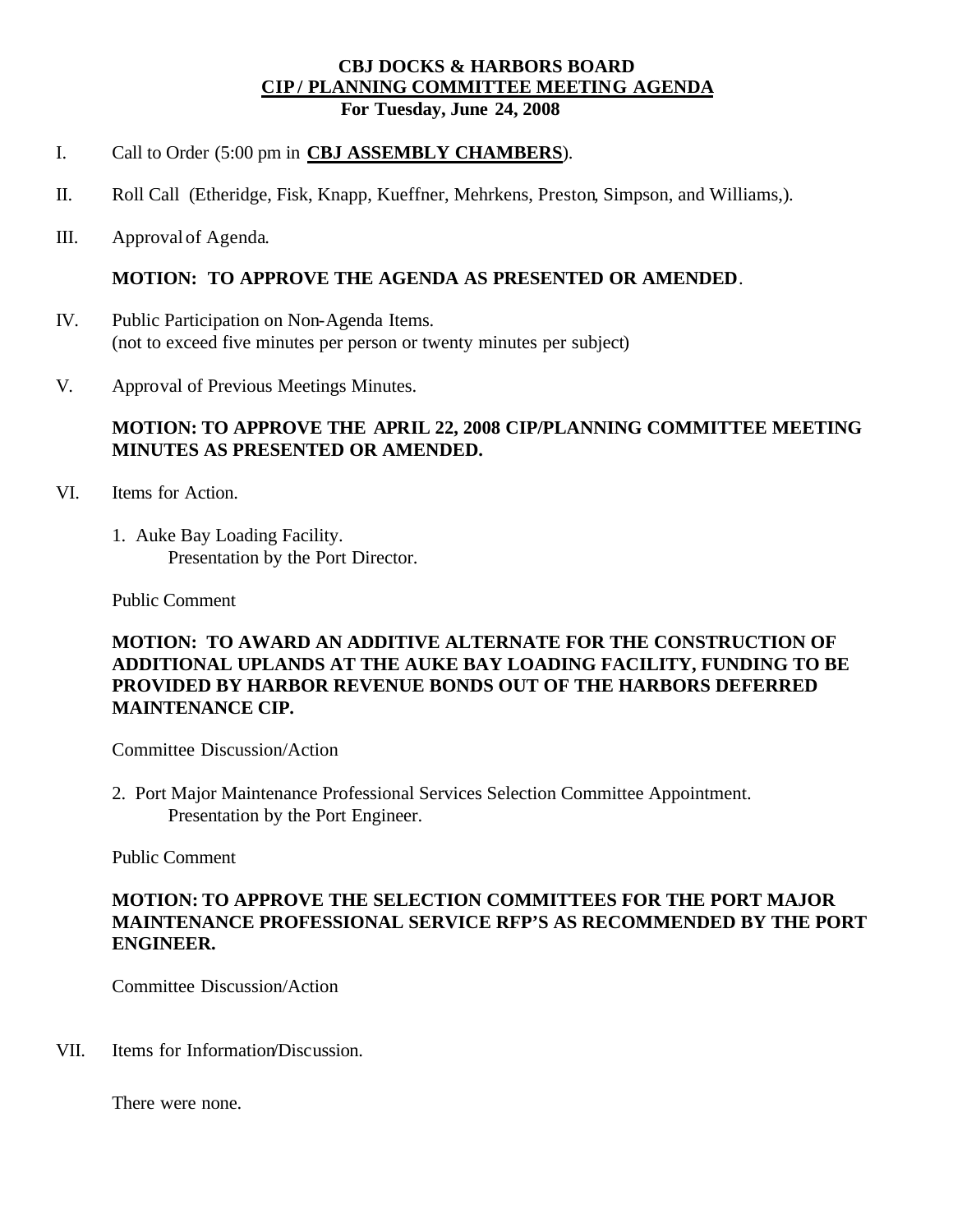### **CBJ DOCKS & HARBORS BOARD CIP / PLANNING COMMITTEE MEETING AGENDA For Tuesday, June 24, 2008**

#### I. Call to Order (5:00 pm in **CBJ ASSEMBLY CHAMBERS**).

- II. Roll Call (Etheridge, Fisk, Knapp, Kueffner, Mehrkens, Preston, Simpson, and Williams,).
- III. Approval of Agenda.

### **MOTION: TO APPROVE THE AGENDA AS PRESENTED OR AMENDED**.

- IV. Public Participation on Non-Agenda Items. (not to exceed five minutes per person or twenty minutes per subject)
- V. Approval of Previous Meetings Minutes.

# **MOTION: TO APPROVE THE APRIL 22, 2008 CIP/PLANNING COMMITTEE MEETING MINUTES AS PRESENTED OR AMENDED.**

- VI. Items for Action.
	- 1. Auke Bay Loading Facility. Presentation by the Port Director.

Public Comment

# **MOTION: TO AWARD AN ADDITIVE ALTERNATE FOR THE CONSTRUCTION OF ADDITIONAL UPLANDS AT THE AUKE BAY LOADING FACILITY, FUNDING TO BE PROVIDED BY HARBOR REVENUE BONDS OUT OF THE HARBORS DEFERRED MAINTENANCE CIP.**

Committee Discussion/Action

2. Port Major Maintenance Professional Services Selection Committee Appointment. Presentation by the Port Engineer.

Public Comment

### **MOTION: TO APPROVE THE SELECTION COMMITTEES FOR THE PORT MAJOR MAINTENANCE PROFESSIONAL SERVICE RFP'S AS RECOMMENDED BY THE PORT ENGINEER.**

Committee Discussion/Action

VII. Items for Information/Discussion.

There were none.